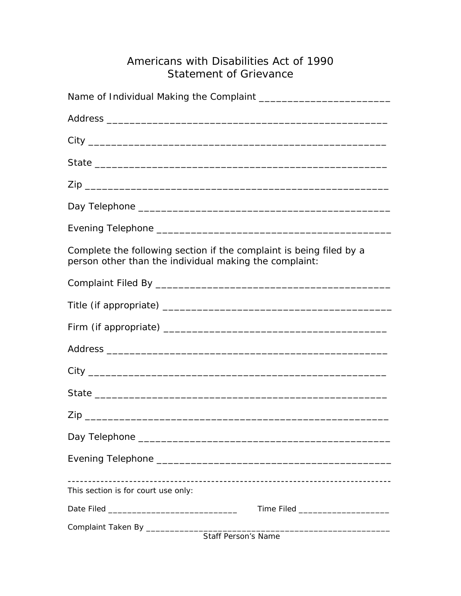## Americans with Disabilities Act of 1990 Statement of Grievance

| Complete the following section if the complaint is being filed by a<br>person other than the individual making the complaint: |
|-------------------------------------------------------------------------------------------------------------------------------|
|                                                                                                                               |
|                                                                                                                               |
|                                                                                                                               |
|                                                                                                                               |
|                                                                                                                               |
|                                                                                                                               |
|                                                                                                                               |
|                                                                                                                               |
|                                                                                                                               |
| This section is for court use only:                                                                                           |
| Time Filed ______________________                                                                                             |
|                                                                                                                               |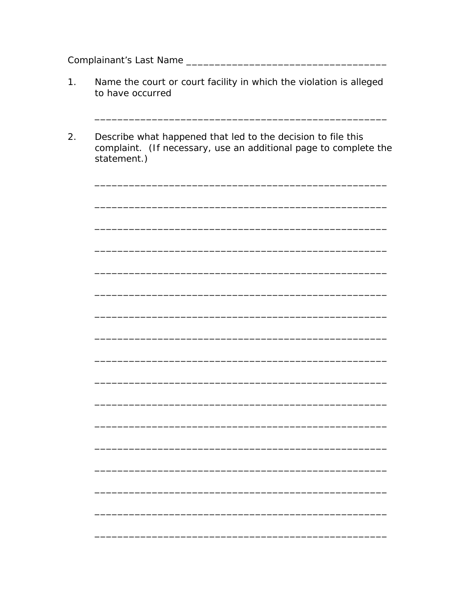- Name the court or court facility in which the violation is alleged  $1.$ to have occurred
- $2.$ Describe what happened that led to the decision to file this complaint. (If necessary, use an additional page to complete the statement.)